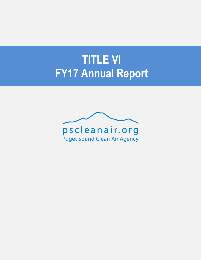# **TITLE VI FY17 Annual Report**

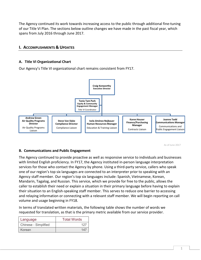The Agency continued its work towards increasing access to the public through additional fine-tuning of our Title VI Plan. The sections below outline changes we have made in the past fiscal year, which spans from July 2016 through June 2017.

## **I. ACCOMPLISHMENTS & UPDATES**

## **A. Title VI Organizational Chart**

Our Agency's Title VI organizational chart remains consistent from FY17.



As of June 2017

#### **B. Communications and Public Engagement**

The Agency continued to provide proactive as well as responsive service to individuals and businesses with limited English proficiency. In FY17, the Agency instituted in-person language interpretation services for those who contact the Agency by phone. Using a third-party service, callers who speak one of our region's top six languages are connected to an interpreter prior to speaking with an Agency staff member. Our region's top six languages include: Spanish, Vietnamese, Korean, Mandarin, Tagalog, and Russian. This service, which we provide for free to the public, allows the caller to establish their need or explain a situation in their primary language before having to explain their situation to an English-speaking staff member. This serves to reduce one barrier to accessing and relaying information or connecting with a relevant staff member. We will begin reporting on call volume and usage beginning in FY18.

In terms of translated written materials, the following table shows the number of words we requested for translation, as that is the primary metric available from our service provider.

| Language             | <b>Total Words</b> |  |  |
|----------------------|--------------------|--|--|
| Chinese - Simplified | 127                |  |  |
| Korean               | $14^-$             |  |  |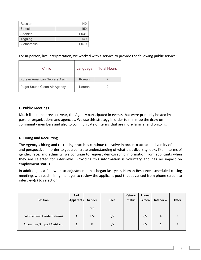| Russian    | 140   |
|------------|-------|
| Somali     | 150   |
| Spanish    | 1,031 |
| Tagalog    | 140   |
| Vietnamese | 1.079 |

For in-person, live interpretation, we worked with a service to provide the following public service:

| Clinic                              | Language | <b>Total Hours</b> |
|-------------------------------------|----------|--------------------|
| Korean American Grocers Assn.       | Korean   |                    |
| <b>Puget Sound Clean Air Agency</b> | Korean   |                    |

#### **C. Public Meetings**

Much like in the previous year, the Agency participated in events that were primarily hosted by partner organizations and agencies. We use this strategy in order to minimize the draw on community members and also to communicate on terms that are more familiar and ongoing.

#### **D. Hiring and Recruiting**

The Agency's hiring and recruiting practices continue to evolve in order to attract a diversity of talent and perspective. In order to get a concrete understanding of what that diversity looks like in terms of gender, race, and ethnicity, we continue to request demographic information from applicants when they are selected for interviews. Providing this information is voluntary and has no impact on employment status.

In addition, as a follow-up to adjustments that began last year, Human Resources scheduled closing meetings with each hiring manager to review the applicant pool that advanced from phone screen to interview(s) to selection.

| <b>Position</b>                     | # of<br><b>Applicants</b> | Gender | Race | Veteran<br><b>Status</b> | Phone<br><b>Screen</b> | <b>Interview</b> | <b>Offer</b> |
|-------------------------------------|---------------------------|--------|------|--------------------------|------------------------|------------------|--------------|
|                                     |                           | 3 F    |      |                          |                        |                  |              |
| Enforcement Assistant (term)        | 4                         | 1 M    | n/a  |                          | n/a                    | 4                |              |
| <b>Accounting Support Assistant</b> |                           | F      | n/a  |                          | n/a                    |                  |              |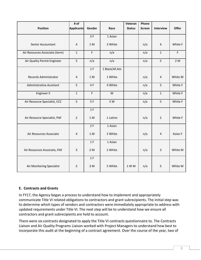|                                | # of              |        |               | Veteran       | Phone         |                         |         |
|--------------------------------|-------------------|--------|---------------|---------------|---------------|-------------------------|---------|
| <b>Position</b>                | <b>Applicants</b> | Gender | Race          | <b>Status</b> | <b>Screen</b> | <b>Interview</b>        | Offer   |
|                                |                   | 3F     | 1 Asian       |               |               |                         |         |
| Senior Accountant              | $\sqrt{4}$        | 1 M    | 3 White       |               | n/a           | $\overline{4}$          | White F |
| Air Resources Associate (term) | $\mathbf 1$       | F      | n/a           |               | n/a           | $\mathbf{1}$            | F       |
| Air Quality Permit Engineer    | 5                 | n/a    | n/a           |               | n/a           | 5                       | 2M      |
|                                |                   | 1 F    | 1 Black/Af.Am |               |               |                         |         |
| Records Administrator          | $\overline{4}$    | 1 M    | 1 White       |               | n/a           | $\overline{\mathbf{4}}$ | White M |
| Administrative Assistant       | 5                 | 4F     | 4 White       |               | n/a           | 5                       | White F |
| Engineer II                    | $\mathbf 1$       | F      | W             |               | n/a           | $\mathbf{1}$            | White F |
| Air Resource Specialist, CCC   | 5                 | 5F     | 5 W           |               | n/a           | 5                       | White F |
|                                |                   | 1 F    |               |               |               |                         |         |
| Air Resource Specialist, PAF   | $\overline{2}$    | 1 M    | 1 Latino      |               | n/a           | $\overline{2}$          | White F |
|                                |                   | 2F     | 1 Asian       |               |               |                         |         |
| Air Resources Associate        | $\overline{4}$    | 1 M    | 2 White       |               | n/a           | 4                       | Asian F |
|                                |                   | 1 F    | 1 Asian       |               |               |                         |         |
| Air Resources Associate, PAF   | $\mathbf{3}$      | 2 M    | 2 White       |               | n/a           | 3                       | White M |
|                                |                   | 1 F    |               |               |               |                         |         |
| Air Monitoring Specialist      | 5                 | 3 M    | 5 White       | 1 W M         | n/a           | 5                       | White M |

### **E. Contracts and Grants**

In FY17, the Agency began a process to understand how to implement and appropriately communicate Title VI related obligations to contractors and grant subrecipients. The initial step was to determine which types of vendors and contractors were immediately appropriate to address with updated requirements under Title VI. The next step will be to understand how we ensure all contractors and grant subrecipients are held to account.

There were six contracts designated to apply the Title VI contracts questionnaire to. The Contracts Liaison and Air Quality Programs Liaison worked with Project Managers to understand how best to incorporate this audit at the beginning of a contract agreement. Over the course of the year, two of